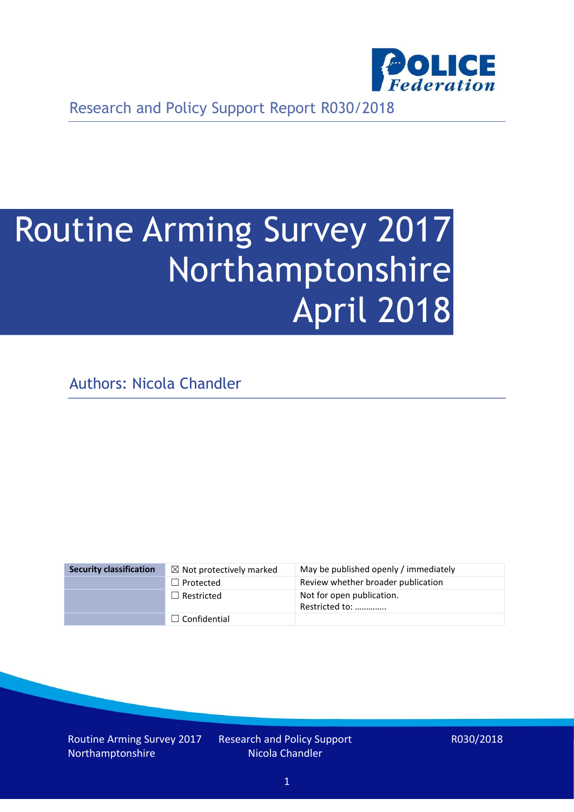

Research and Policy Support Report R030/2018

# Routine Arming Survey 2017 Northamptonshire April 2018

Authors: Nicola Chandler

| <b>Security classification</b> | $\boxtimes$ Not protectively marked | May be published openly / immediately       |
|--------------------------------|-------------------------------------|---------------------------------------------|
|                                | $\Box$ Protected                    | Review whether broader publication          |
|                                | $\Box$ Restricted                   | Not for open publication.<br>Restricted to: |
|                                | $\Box$ Confidential                 |                                             |

Routine Arming Survey 2017 Northamptonshire

Research and Policy Support Nicola Chandler

R030/2018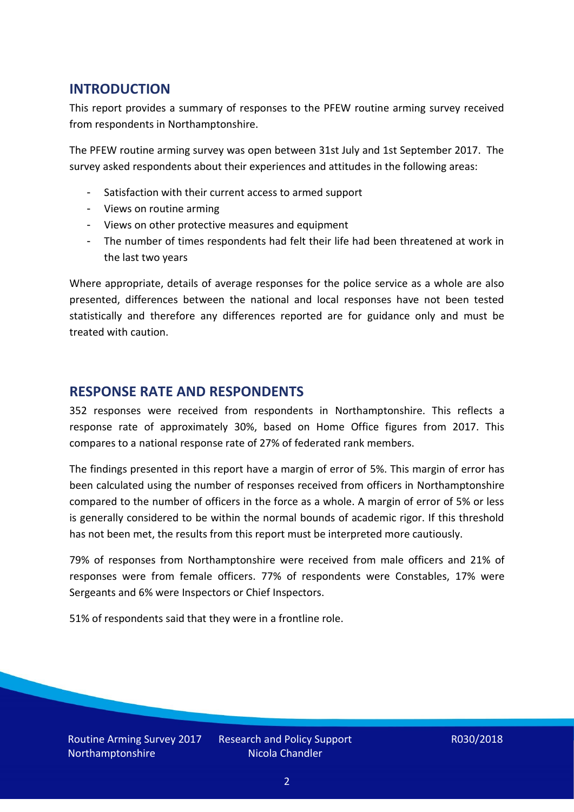## **INTRODUCTION**

This report provides a summary of responses to the PFEW routine arming survey received from respondents in Northamptonshire.

The PFEW routine arming survey was open between 31st July and 1st September 2017. The survey asked respondents about their experiences and attitudes in the following areas:

- Satisfaction with their current access to armed support
- Views on routine arming
- Views on other protective measures and equipment
- The number of times respondents had felt their life had been threatened at work in the last two years

Where appropriate, details of average responses for the police service as a whole are also presented, differences between the national and local responses have not been tested statistically and therefore any differences reported are for guidance only and must be treated with caution.

### **RESPONSE RATE AND RESPONDENTS**

352 responses were received from respondents in Northamptonshire. This reflects a response rate of approximately 30%, based on Home Office figures from 2017. This compares to a national response rate of 27% of federated rank members.

The findings presented in this report have a margin of error of 5%. This margin of error has been calculated using the number of responses received from officers in Northamptonshire compared to the number of officers in the force as a whole. A margin of error of 5% or less is generally considered to be within the normal bounds of academic rigor. If this threshold has not been met, the results from this report must be interpreted more cautiously.

79% of responses from Northamptonshire were received from male officers and 21% of responses were from female officers. 77% of respondents were Constables, 17% were Sergeants and 6% were Inspectors or Chief Inspectors.

51% of respondents said that they were in a frontline role.

Routine Arming Survey 2017 Northamptonshire

Research and Policy Support Nicola Chandler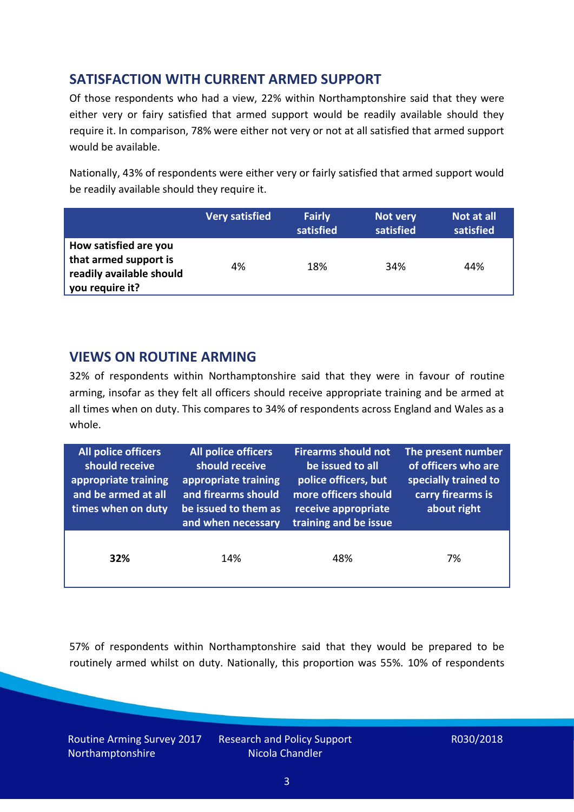## **SATISFACTION WITH CURRENT ARMED SUPPORT**

Of those respondents who had a view, 22% within Northamptonshire said that they were either very or fairy satisfied that armed support would be readily available should they require it. In comparison, 78% were either not very or not at all satisfied that armed support would be available.

Nationally, 43% of respondents were either very or fairly satisfied that armed support would be readily available should they require it.

|                                                                                               | <b>Very satisfied</b> | <b>Fairly</b><br>satisfied | Not very<br>satisfied | Not at all<br>satisfied |
|-----------------------------------------------------------------------------------------------|-----------------------|----------------------------|-----------------------|-------------------------|
| How satisfied are you<br>that armed support is<br>readily available should<br>you require it? | 4%                    | 18%                        | 34%                   | 44%                     |

## **VIEWS ON ROUTINE ARMING**

32% of respondents within Northamptonshire said that they were in favour of routine arming, insofar as they felt all officers should receive appropriate training and be armed at all times when on duty. This compares to 34% of respondents across England and Wales as a whole.

| All police officers<br>should receive<br>appropriate training<br>and be armed at all<br>times when on duty | <b>All police officers</b><br>should receive<br>appropriate training<br>and firearms should<br>be issued to them as<br>and when necessary | <b>Firearms should not</b><br>be issued to all<br>police officers, but<br>more officers should<br>receive appropriate<br>training and be issue | The present number<br>of officers who are<br>specially trained to<br>carry firearms is<br>about right |  |
|------------------------------------------------------------------------------------------------------------|-------------------------------------------------------------------------------------------------------------------------------------------|------------------------------------------------------------------------------------------------------------------------------------------------|-------------------------------------------------------------------------------------------------------|--|
| 32%                                                                                                        | 14%                                                                                                                                       | 48%                                                                                                                                            | 7%                                                                                                    |  |

57% of respondents within Northamptonshire said that they would be prepared to be routinely armed whilst on duty. Nationally, this proportion was 55%. 10% of respondents

Routine Arming Survey 2017 Northamptonshire

Research and Policy Support Nicola Chandler

R030/2018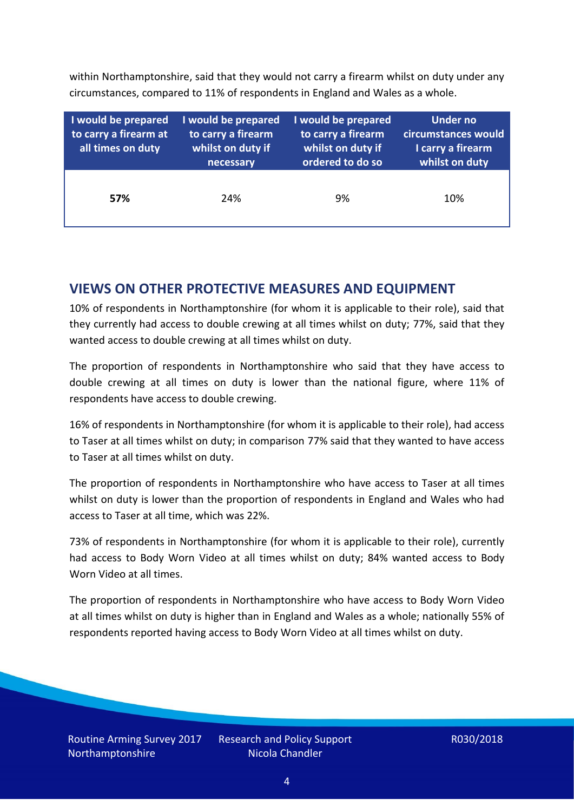within Northamptonshire, said that they would not carry a firearm whilst on duty under any circumstances, compared to 11% of respondents in England and Wales as a whole.

| I would be prepared<br>to carry a firearm at<br>all times on duty | I would be prepared<br>to carry a firearm<br>whilst on duty if<br>necessary | I would be prepared<br>to carry a firearm<br>whilst on duty if<br>ordered to do so | <b>Under no</b><br>circumstances would<br>I carry a firearm<br>whilst on duty |
|-------------------------------------------------------------------|-----------------------------------------------------------------------------|------------------------------------------------------------------------------------|-------------------------------------------------------------------------------|
| 57%                                                               | 24%                                                                         | 9%                                                                                 | 10%                                                                           |

## **VIEWS ON OTHER PROTECTIVE MEASURES AND EQUIPMENT**

10% of respondents in Northamptonshire (for whom it is applicable to their role), said that they currently had access to double crewing at all times whilst on duty; 77%, said that they wanted access to double crewing at all times whilst on duty.

The proportion of respondents in Northamptonshire who said that they have access to double crewing at all times on duty is lower than the national figure, where 11% of respondents have access to double crewing.

16% of respondents in Northamptonshire (for whom it is applicable to their role), had access to Taser at all times whilst on duty; in comparison 77% said that they wanted to have access to Taser at all times whilst on duty.

The proportion of respondents in Northamptonshire who have access to Taser at all times whilst on duty is lower than the proportion of respondents in England and Wales who had access to Taser at all time, which was 22%.

73% of respondents in Northamptonshire (for whom it is applicable to their role), currently had access to Body Worn Video at all times whilst on duty; 84% wanted access to Body Worn Video at all times.

The proportion of respondents in Northamptonshire who have access to Body Worn Video at all times whilst on duty is higher than in England and Wales as a whole; nationally 55% of respondents reported having access to Body Worn Video at all times whilst on duty.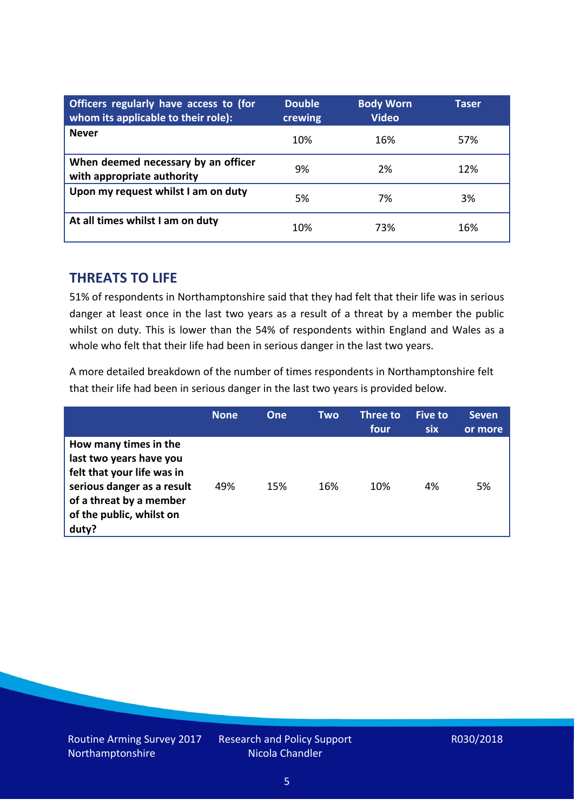| Officers regularly have access to (for<br>whom its applicable to their role): | <b>Double</b><br>crewing | <b>Body Worn</b><br><b>Video</b> | Taser |
|-------------------------------------------------------------------------------|--------------------------|----------------------------------|-------|
| <b>Never</b>                                                                  | 10%                      | 16%                              | 57%   |
| When deemed necessary by an officer<br>with appropriate authority             | 9%                       | 2%                               | 12%   |
| Upon my request whilst I am on duty                                           | 5%                       | 7%                               | 3%    |
| At all times whilst I am on duty                                              | 10%                      | 73%                              | 16%   |

### **THREATS TO LIFE**

51% of respondents in Northamptonshire said that they had felt that their life was in serious danger at least once in the last two years as a result of a threat by a member the public whilst on duty. This is lower than the 54% of respondents within England and Wales as a whole who felt that their life had been in serious danger in the last two years.

A more detailed breakdown of the number of times respondents in Northamptonshire felt that their life had been in serious danger in the last two years is provided below.

|                                                                                                                                                                              | <b>None</b> | <b>One</b> | Two | <b>Three to</b><br>four | <b>Five to</b><br>six | <b>Seven</b><br>or more |
|------------------------------------------------------------------------------------------------------------------------------------------------------------------------------|-------------|------------|-----|-------------------------|-----------------------|-------------------------|
| How many times in the<br>last two years have you<br>felt that your life was in<br>serious danger as a result<br>of a threat by a member<br>of the public, whilst on<br>duty? | 49%         | 15%        | 16% | 10%                     | 4%                    | 5%                      |

Research and Policy Support Nicola Chandler